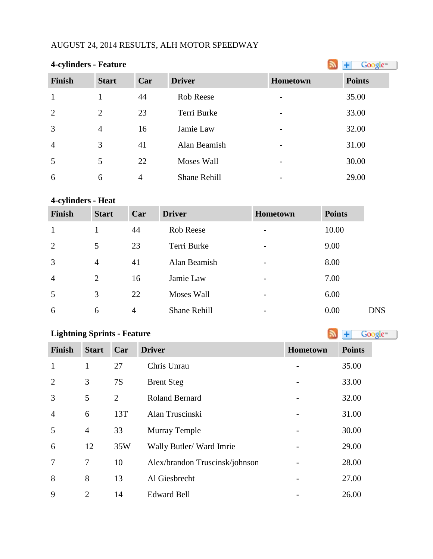## AUGUST 24, 2014 RESULTS, ALH MOTOR SPEEDWAY

| <b>4-cylinders - Feature</b> |                |     |                     |                 | Google <sup>®</sup> |
|------------------------------|----------------|-----|---------------------|-----------------|---------------------|
| <b>Finish</b>                | <b>Start</b>   | Car | <b>Driver</b>       | <b>Hometown</b> | <b>Points</b>       |
| $\mathbf{1}$                 |                | 44  | Rob Reese           |                 | 35.00               |
| $\overline{2}$               | 2              | 23  | Terri Burke         |                 | 33.00               |
| 3                            | $\overline{4}$ | 16  | Jamie Law           |                 | 32.00               |
| $\overline{4}$               | 3              | 41  | Alan Beamish        |                 | 31.00               |
| 5                            | 5              | 22  | <b>Moses Wall</b>   |                 | 30.00               |
| 6                            | 6              | 4   | <b>Shane Rehill</b> |                 | 29.00               |

#### **4-cylinders - Heat**

| <b>Finish</b>  | <b>Start</b>   | Car | <b>Driver</b>       | Hometown | <b>Points</b> |            |
|----------------|----------------|-----|---------------------|----------|---------------|------------|
| $\mathbf{1}$   |                | 44  | <b>Rob Reese</b>    |          | 10.00         |            |
| 2              | 5              | 23  | Terri Burke         |          | 9.00          |            |
| 3              | $\overline{4}$ | 41  | Alan Beamish        |          | 8.00          |            |
| $\overline{4}$ | $\overline{2}$ | 16  | Jamie Law           |          | 7.00          |            |
| 5              | 3              | 22  | Moses Wall          |          | 6.00          |            |
| 6              | 6              | 4   | <b>Shane Rehill</b> |          | 0.00          | <b>DNS</b> |

## **LightningSprints - Feature Constanting Sprints - Feature**

| Finish         | <b>Start</b>   | Car            | <b>Driver</b>                  | Hometown                 | <b>Points</b> |
|----------------|----------------|----------------|--------------------------------|--------------------------|---------------|
| $\mathbf{1}$   | 1              | 27             | Chris Unrau                    |                          | 35.00         |
| 2              | 3              | 7S             | <b>Brent Steg</b>              |                          | 33.00         |
| 3              | 5              | $\overline{2}$ | <b>Roland Bernard</b>          |                          | 32.00         |
| $\overline{4}$ | 6              | 13T            | Alan Truscinski                | $\overline{\phantom{a}}$ | 31.00         |
| 5              | $\overline{4}$ | 33             | <b>Murray Temple</b>           |                          | 30.00         |
| 6              | 12             | 35W            | Wally Butler/Ward Imrie        |                          | 29.00         |
| 7              | 7              | 10             | Alex/brandon Truscinsk/johnson |                          | 28.00         |
| 8              | 8              | 13             | Al Giesbrecht                  |                          | 27.00         |
| 9              | $\overline{2}$ | 14             | <b>Edward Bell</b>             |                          | 26.00         |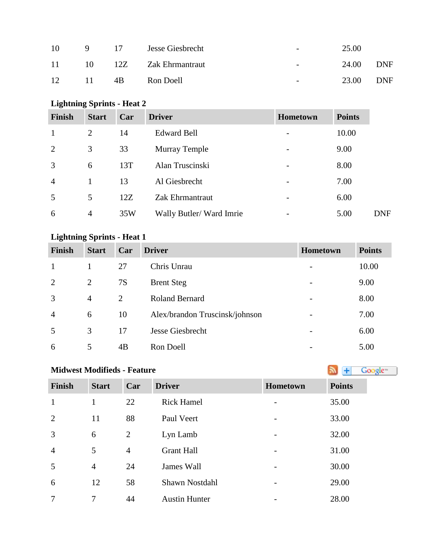| 10  | Q. | - 17 | Jesse Giesbrecht | $\overline{\phantom{0}}$ | 25.00 |            |
|-----|----|------|------------------|--------------------------|-------|------------|
| -11 | 10 | 12Z  | Zak Ehrmantraut  | $\sim$                   | 24.00 | DNF        |
| 12  | 11 | 4B   | Ron Doell        | $\overline{\phantom{0}}$ | 23.00 | <b>DNF</b> |

## **Lightning Sprints - Heat 2**

| <b>Finish</b>  | <b>Start</b>   | Car | <b>Driver</b>           | <b>Hometown</b>          | <b>Points</b> |
|----------------|----------------|-----|-------------------------|--------------------------|---------------|
|                | 2              | 14  | <b>Edward Bell</b>      |                          | 10.00         |
| 2              | 3              | 33  | <b>Murray Temple</b>    | $\overline{a}$           | 9.00          |
| 3              | 6              | 13T | Alan Truscinski         | -                        | 8.00          |
| $\overline{4}$ |                | 13  | Al Giesbrecht           | $\overline{a}$           | 7.00          |
| 5              | 5              | 12Z | Zak Ehrmantraut         | -                        | 6.00          |
| 6              | $\overline{4}$ | 35W | Wally Butler/Ward Imrie | $\overline{\phantom{0}}$ | 5.00          |

# **Lightning Sprints - Heat 1**

| <b>Finish</b>  | <b>Start</b>   | Car | <b>Driver</b>                  | <b>Hometown</b>          | <b>Points</b> |
|----------------|----------------|-----|--------------------------------|--------------------------|---------------|
|                |                | 27  | Chris Unrau                    |                          | 10.00         |
| 2              | $\overline{2}$ | 7S  | <b>Brent Steg</b>              |                          | 9.00          |
| 3              | $\overline{4}$ | 2   | <b>Roland Bernard</b>          |                          | 8.00          |
| $\overline{4}$ | 6              | 10  | Alex/brandon Truscinsk/johnson | $\overline{\phantom{a}}$ | 7.00          |
| 5              | 3              | 17  | Jesse Giesbrecht               |                          | 6.00          |
| 6              | 5              | 4B  | Ron Doell                      | $\overline{\phantom{0}}$ | 5.00          |

# **Midwest Modifieds - Feature**

| <b>Finish</b>  | <b>Start</b>   | Car            | <b>Driver</b>        | Hometown                     | <b>Points</b> |
|----------------|----------------|----------------|----------------------|------------------------------|---------------|
| $\mathbf{1}$   | $\mathbf{1}$   | 22             | <b>Rick Hamel</b>    | $\overline{\phantom{a}}$     | 35.00         |
| $\overline{2}$ | 11             | 88             | Paul Veert           | -                            | 33.00         |
| 3              | 6              | 2              | Lyn Lamb             | $\overline{\phantom{a}}$     | 32.00         |
| $\overline{4}$ | 5              | $\overline{4}$ | <b>Grant Hall</b>    | -                            | 31.00         |
| 5              | $\overline{4}$ | 24             | James Wall           | $\overline{\phantom{a}}$     | 30.00         |
| 6              | 12             | 58             | Shawn Nostdahl       | $\qquad \qquad \blacksquare$ | 29.00         |
| $\overline{7}$ | 7              | 44             | <b>Austin Hunter</b> |                              | 28.00         |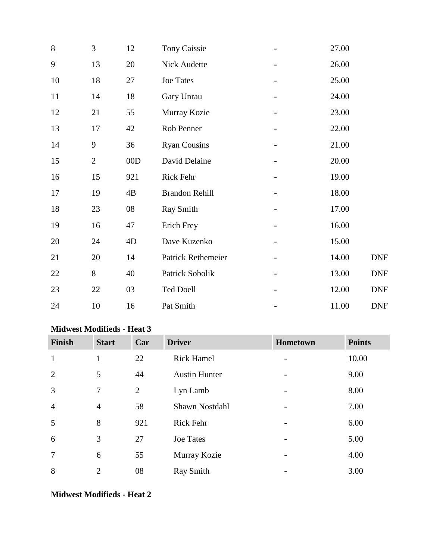| 8  | 3              | 12  | <b>Tony Caissie</b>   | 27.00 |            |
|----|----------------|-----|-----------------------|-------|------------|
| 9  | 13             | 20  | Nick Audette          | 26.00 |            |
| 10 | 18             | 27  | Joe Tates             | 25.00 |            |
| 11 | 14             | 18  | Gary Unrau            | 24.00 |            |
| 12 | 21             | 55  | Murray Kozie          | 23.00 |            |
| 13 | 17             | 42  | Rob Penner            | 22.00 |            |
| 14 | 9              | 36  | <b>Ryan Cousins</b>   | 21.00 |            |
| 15 | $\overline{2}$ | 00D | David Delaine         | 20.00 |            |
| 16 | 15             | 921 | Rick Fehr             | 19.00 |            |
| 17 | 19             | 4B  | <b>Brandon Rehill</b> | 18.00 |            |
| 18 | 23             | 08  | <b>Ray Smith</b>      | 17.00 |            |
| 19 | 16             | 47  | Erich Frey            | 16.00 |            |
| 20 | 24             | 4D  | Dave Kuzenko          | 15.00 |            |
| 21 | 20             | 14  | Patrick Rethemeier    | 14.00 | <b>DNF</b> |
| 22 | 8              | 40  | Patrick Sobolik       | 13.00 | <b>DNF</b> |
| 23 | 22             | 03  | <b>Ted Doell</b>      | 12.00 | <b>DNF</b> |
| 24 | 10             | 16  | Pat Smith             | 11.00 | <b>DNF</b> |

#### **Midwest Modifieds - Heat 3**

| <b>Finish</b>  | <b>Start</b>   | Car            | <b>Driver</b>        | Hometown | <b>Points</b> |
|----------------|----------------|----------------|----------------------|----------|---------------|
| $\mathbf{1}$   | 1              | 22             | <b>Rick Hamel</b>    |          | 10.00         |
| $\overline{2}$ | 5              | 44             | <b>Austin Hunter</b> |          | 9.00          |
| 3              | 7              | $\overline{2}$ | Lyn Lamb             |          | 8.00          |
| $\overline{4}$ | $\overline{4}$ | 58             | Shawn Nostdahl       |          | 7.00          |
| 5              | 8              | 921            | <b>Rick Fehr</b>     |          | 6.00          |
| 6              | 3              | 27             | <b>Joe Tates</b>     |          | 5.00          |
| $\overline{7}$ | 6              | 55             | Murray Kozie         |          | 4.00          |
| 8              | $\overline{2}$ | 08             | <b>Ray Smith</b>     |          | 3.00          |

#### **Midwest Modifieds - Heat 2**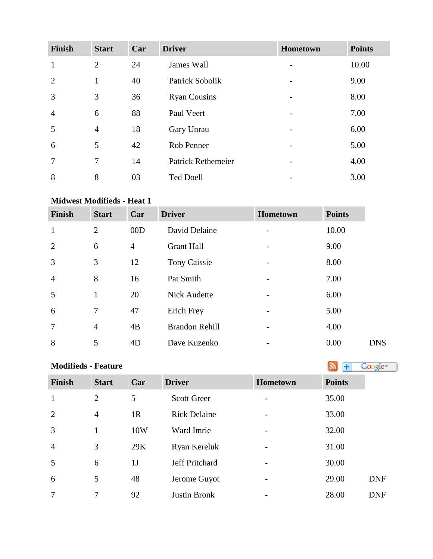| <b>Finish</b>  | <b>Start</b>   | Car | <b>Driver</b>             | Hometown                 | <b>Points</b> |
|----------------|----------------|-----|---------------------------|--------------------------|---------------|
| $\mathbf{1}$   | $\overline{2}$ | 24  | James Wall                |                          | 10.00         |
| 2              | $\mathbf{1}$   | 40  | Patrick Sobolik           |                          | 9.00          |
| $\overline{3}$ | 3              | 36  | <b>Ryan Cousins</b>       | $\overline{\phantom{a}}$ | 8.00          |
| $\overline{4}$ | 6              | 88  | Paul Veert                |                          | 7.00          |
| 5              | $\overline{4}$ | 18  | Gary Unrau                |                          | 6.00          |
| 6              | 5              | 42  | Rob Penner                |                          | 5.00          |
| $\overline{7}$ | 7              | 14  | <b>Patrick Rethemeier</b> |                          | 4.00          |
| 8              | 8              | 03  | <b>Ted Doell</b>          |                          | 3.00          |

#### **Midwest Modifieds - Heat 1**

| <b>Finish</b>  | <b>Start</b>   | Car | <b>Driver</b>         | <b>Hometown</b> | <b>Points</b> |            |
|----------------|----------------|-----|-----------------------|-----------------|---------------|------------|
| $\mathbf{1}$   | $\overline{2}$ | 00D | David Delaine         |                 | 10.00         |            |
| $\overline{2}$ | 6              | 4   | <b>Grant Hall</b>     |                 | 9.00          |            |
| 3              | 3              | 12  | Tony Caissie          |                 | 8.00          |            |
| $\overline{4}$ | 8              | 16  | Pat Smith             | -               | 7.00          |            |
| 5              | $\mathbf{1}$   | 20  | <b>Nick Audette</b>   |                 | 6.00          |            |
| 6              | 7              | 47  | Erich Frey            | -               | 5.00          |            |
| $\overline{7}$ | $\overline{4}$ | 4B  | <b>Brandon Rehill</b> | $\overline{a}$  | 4.00          |            |
| 8              | 5              | 4D  | Dave Kuzenko          |                 | 0.00          | <b>DNS</b> |

# **Modifieds- Feature**

| <b>Finish</b>  | <b>Start</b>   | Car            | <b>Driver</b>       | Hometown                 | <b>Points</b> |
|----------------|----------------|----------------|---------------------|--------------------------|---------------|
| $\mathbf{1}$   | $\overline{2}$ | 5              | <b>Scott Greer</b>  |                          | 35.00         |
| $\overline{2}$ | $\overline{4}$ | 1 <sub>R</sub> | <b>Rick Delaine</b> | $\overline{\phantom{a}}$ | 33.00         |
| $\overline{3}$ | $\mathbf{1}$   | 10W            | Ward Imrie          | $\overline{a}$           | 32.00         |
| $\overline{4}$ | 3              | 29K            | Ryan Kereluk        |                          | 31.00         |
| 5              | 6              | 1 <sub>J</sub> | Jeff Pritchard      | $\qquad \qquad$          | 30.00         |
| 6              | 5              | 48             | Jerome Guyot        | $\overline{a}$           | 29.00         |
| 7              | 7              | 92             | <b>Justin Bronk</b> |                          | 28.00         |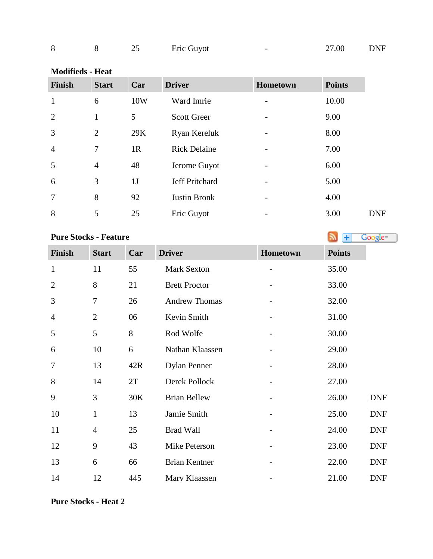|  |  |  |  | Eric Guyot |  | 27.00 | DNF |
|--|--|--|--|------------|--|-------|-----|
|--|--|--|--|------------|--|-------|-----|

#### **Modifieds - Heat**

| <b>Finish</b>  | <b>Start</b>   | Car | <b>Driver</b>       | Hometown | <b>Points</b> |            |
|----------------|----------------|-----|---------------------|----------|---------------|------------|
| $\mathbf{1}$   | 6              | 10W | Ward Imrie          |          | 10.00         |            |
| $\overline{2}$ | $\mathbf{1}$   | 5   | <b>Scott Greer</b>  |          | 9.00          |            |
| 3              | $\overline{2}$ | 29K | Ryan Kereluk        |          | 8.00          |            |
| $\overline{4}$ | 7              | 1R  | <b>Rick Delaine</b> |          | 7.00          |            |
| 5              | $\overline{4}$ | 48  | Jerome Guyot        |          | 6.00          |            |
| 6              | 3              | 1J  | Jeff Pritchard      |          | 5.00          |            |
| $\overline{7}$ | 8              | 92  | Justin Bronk        |          | 4.00          |            |
| 8              | 5              | 25  | Eric Guyot          |          | 3.00          | <b>DNF</b> |

#### **PureStocks - Feature Algebra Cooks - Feature**

| Finish         | <b>Start</b>   | Car | <b>Driver</b>        | Hometown | <b>Points</b> |
|----------------|----------------|-----|----------------------|----------|---------------|
| $\mathbf{1}$   | 11             | 55  | <b>Mark Sexton</b>   |          | 35.00         |
| $\overline{c}$ | 8              | 21  | <b>Brett Proctor</b> |          | 33.00         |
| 3              | $\overline{7}$ | 26  | <b>Andrew Thomas</b> |          | 32.00         |
| 4              | $\overline{2}$ | 06  | Kevin Smith          |          | 31.00         |
| 5              | 5              | 8   | Rod Wolfe            |          | 30.00         |
| 6              | 10             | 6   | Nathan Klaassen      |          | 29.00         |
| 7              | 13             | 42R | <b>Dylan Penner</b>  |          | 28.00         |
| 8              | 14             | 2T  | Derek Pollock        |          | 27.00         |
| 9              | 3              | 30K | <b>Brian Bellew</b>  |          | 26.00         |
| 10             | $\mathbf{1}$   | 13  | Jamie Smith          |          | 25.00         |
| 11             | $\overline{4}$ | 25  | <b>Brad Wall</b>     |          | 24.00         |
| 12             | 9              | 43  | Mike Peterson        |          | 23.00         |
| 13             | 6              | 66  | <b>Brian Kentner</b> |          | 22.00         |

14 12 445 Marv Klaassen - 21.00 DNF

### **Pure Stocks - Heat 2**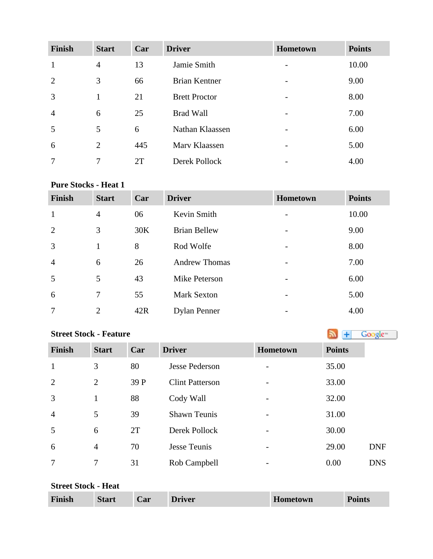| <b>Finish</b>  | <b>Start</b>   | Car | <b>Driver</b>        | <b>Hometown</b>          | <b>Points</b> |
|----------------|----------------|-----|----------------------|--------------------------|---------------|
| 1              | $\overline{4}$ | 13  | Jamie Smith          | $\overline{\phantom{0}}$ | 10.00         |
| 2              | 3              | 66  | <b>Brian Kentner</b> | -                        | 9.00          |
| 3              | 1              | 21  | <b>Brett Proctor</b> | $\overline{\phantom{0}}$ | 8.00          |
| $\overline{4}$ | 6              | 25  | <b>Brad Wall</b>     | $\overline{\phantom{a}}$ | 7.00          |
| 5              | 5              | 6   | Nathan Klaassen      |                          | 6.00          |
| 6              | 2              | 445 | Mary Klaassen        | $\overline{\phantom{0}}$ | 5.00          |
| 7              | 7              | 2T  | Derek Pollock        |                          | 4.00          |

#### **Pure Stocks - Heat 1**

| <b>Finish</b>  | <b>Start</b>   | Car | <b>Driver</b>        | Hometown | <b>Points</b> |
|----------------|----------------|-----|----------------------|----------|---------------|
| $\mathbf{1}$   | $\overline{4}$ | 06  | Kevin Smith          |          | 10.00         |
| $\overline{2}$ | 3              | 30K | <b>Brian Bellew</b>  |          | 9.00          |
| 3              | $\mathbf{1}$   | 8   | Rod Wolfe            | -        | 8.00          |
| $\overline{4}$ | 6              | 26  | <b>Andrew Thomas</b> |          | 7.00          |
| 5              | 5              | 43  | Mike Peterson        |          | 6.00          |
| 6              | 7              | 55  | <b>Mark Sexton</b>   |          | 5.00          |
| $\overline{7}$ | $\overline{2}$ | 42R | <b>Dylan Penner</b>  |          | 4.00          |

# **StreetStock - Feature Street Stock - Feature**

| <b>Finish</b>  | <b>Start</b>   | Car  | <b>Driver</b>          | Hometown                 | <b>Points</b> |
|----------------|----------------|------|------------------------|--------------------------|---------------|
| $\mathbf{1}$   | 3              | 80   | <b>Jesse Pederson</b>  |                          | 35.00         |
| 2              | $\overline{2}$ | 39 P | <b>Clint Patterson</b> | $\overline{\phantom{0}}$ | 33.00         |
| $\overline{3}$ | 1              | 88   | Cody Wall              |                          | 32.00         |
| $\overline{4}$ | 5              | 39   | <b>Shawn Teunis</b>    |                          | 31.00         |
| 5              | 6              | 2T   | Derek Pollock          |                          | 30.00         |
| 6              | $\overline{4}$ | 70   | Jesse Teunis           |                          | 29.00         |
| $\overline{7}$ | 7              | 31   | Rob Campbell           |                          | 0.00          |

#### **Street Stock - Heat**

| <b>Finish</b> | <b>Start</b> | Car | <b>Driver</b> | Hometown | <b>Points</b> |
|---------------|--------------|-----|---------------|----------|---------------|
|---------------|--------------|-----|---------------|----------|---------------|